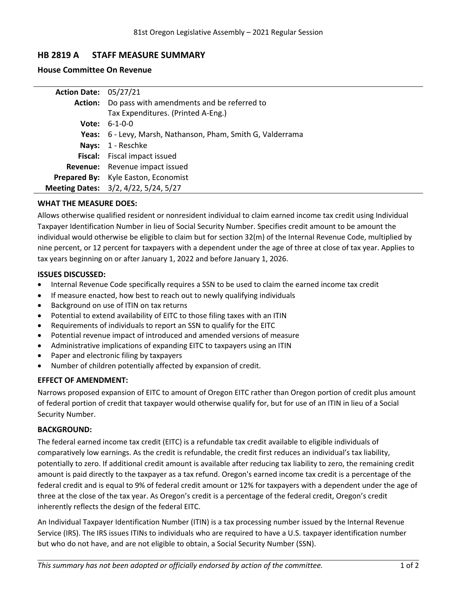# **HB 2819 A STAFF MEASURE SUMMARY**

## **House Committee On Revenue**

| <b>Action Date: 05/27/21</b> |                                                             |
|------------------------------|-------------------------------------------------------------|
|                              | Action: Do pass with amendments and be referred to          |
|                              | Tax Expenditures. (Printed A-Eng.)                          |
|                              | <b>Vote:</b> $6-1-0-0$                                      |
|                              | Yeas: 6 - Levy, Marsh, Nathanson, Pham, Smith G, Valderrama |
|                              | Nays: 1 - Reschke                                           |
|                              | Fiscal: Fiscal impact issued                                |
|                              | Revenue: Revenue impact issued                              |
|                              | Prepared By: Kyle Easton, Economist                         |
|                              | Meeting Dates: 3/2, 4/22, 5/24, 5/27                        |

# **WHAT THE MEASURE DOES:**

Allows otherwise qualified resident or nonresident individual to claim earned income tax credit using Individual Taxpayer Identification Number in lieu of Social Security Number. Specifies credit amount to be amount the individual would otherwise be eligible to claim but for section 32(m) of the Internal Revenue Code, multiplied by nine percent, or 12 percent for taxpayers with <sup>a</sup> dependent under the age of three at close of tax year. Applies to tax years beginning on or after January 1, 2022 and before January 1, 2026.

## **ISSUES DISCUSSED:**

- . Internal Revenue Code specifically requires <sup>a</sup> SSN to be used to claim the earned income tax credit
- $\bullet$ If measure enacted, how best to reach out to newly qualifying individuals
- . Background on use of ITIN on tax returns
- . Potential to extend availability of EITC to those filing taxes with an ITIN
- . Requirements of individuals to report an SSN to qualify for the EITC
- . Potential revenue impact of introduced and amended versions of measure
- . Administrative implications of expanding EITC to taxpayers using an ITIN
- . Paper and electronic filing by taxpayers
- . Number of children potentially affected by expansion of credit.

# **EFFECT OF AMENDMENT:**

Narrows proposed expansion of EITC to amount of Oregon EITC rather than Oregon portion of credit plus amount of federal portion of credit that taxpayer would otherwise qualify for, but for use of an ITIN in lieu of <sup>a</sup> Social Security Number.

#### **BACKGROUND:**

The federal earned income tax credit (EITC) is <sup>a</sup> refundable tax credit available to eligible individuals of comparatively low earnings. As the credit is refundable, the credit first reduces an individual's tax liability, potentially to zero. If additional credit amount is available after reducing tax liability to zero, the remaining credit amount is paid directly to the taxpayer as <sup>a</sup> tax refund. Oregon's earned income tax credit is <sup>a</sup> percentage of the federal credit and is equal to 9% of federal credit amount or 12% for taxpayers with <sup>a</sup> dependent under the age of three at the close of the tax year. As Oregon's credit is <sup>a</sup> percentage of the federal credit, Oregon's credit inherently reflects the design of the federal EITC.

An Individual Taxpayer Identification Number (ITIN) is <sup>a</sup> tax processing number issued by the Internal Revenue Service (IRS). The IRS issues ITINs to individuals who are required to have <sup>a</sup> U.S. taxpayer identification number but who do not have, and are not eligible to obtain, <sup>a</sup> Social Security Number (SSN).